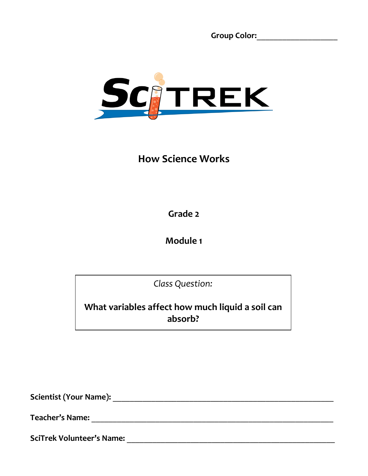**Group Color:**\_\_\_\_\_\_\_\_\_\_\_\_\_\_\_\_\_\_\_



# **How Science Works**

**Grade 2**

**Module 1**

*Class Question:*

**What variables affect how much liquid a soil can absorb?**

**Scientist (Your Name):** \_\_\_\_\_\_\_\_\_\_\_\_\_\_\_\_\_\_\_\_\_\_\_\_\_\_\_\_\_\_\_\_\_\_\_\_\_\_\_\_\_\_\_\_\_\_\_\_\_\_\_\_

**Teacher's Name:** \_\_\_\_\_\_\_\_\_\_\_\_\_\_\_\_\_\_\_\_\_\_\_\_\_\_\_\_\_\_\_\_\_\_\_\_\_\_\_\_\_\_\_\_\_\_\_\_\_\_\_\_\_\_\_\_\_

**SciTrek Volunteer's Name:** \_\_\_\_\_\_\_\_\_\_\_\_\_\_\_\_\_\_\_\_\_\_\_\_\_\_\_\_\_\_\_\_\_\_\_\_\_\_\_\_\_\_\_\_\_\_\_\_\_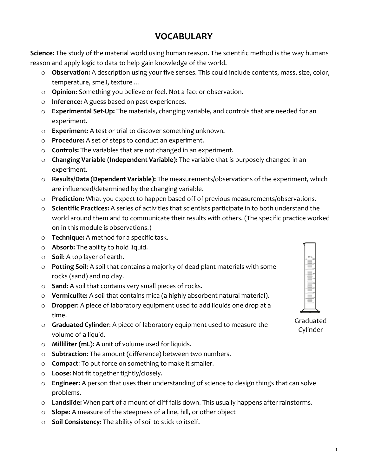#### **VOCABULARY**

**Science:** The study of the material world using human reason. The scientific method is the way humans reason and apply logic to data to help gain knowledge of the world.

- o **Observation:** A description using your five senses. This could include contents, mass, size, color, temperature, smell, texture …
- o **Opinion:** Something you believe or feel. Not a fact or observation.
- o **Inference:** A guess based on past experiences.
- o **Experimental Set-Up:** The materials, changing variable, and controls that are needed for an experiment.
- o **Experiment:** A test or trial to discover something unknown.
- o **Procedure:** A set of steps to conduct an experiment.
- o **Controls:** The variables that are not changed in an experiment.
- o **Changing Variable (Independent Variable):** The variable that is purposely changed in an experiment.
- o **Results/Data (Dependent Variable):** The measurements/observations of the experiment, which are influenced/determined by the changing variable.
- o **Prediction:** What you expect to happen based off of previous measurements/observations.
- o **Scientific Practices:** A series of activities that scientists participate in to both understand the world around them and to communicate their results with others. (The specific practice worked on in this module is observations.)
- o **Technique:** A method for a specific task.
- o **Absorb:** The ability to hold liquid.
- o **Soil**: A top layer of earth.
- o **Potting Soil**: A soil that contains a majority of dead plant materials with some rocks (sand) and no clay.
- o **Sand**: A soil that contains very small pieces of rocks.
- o **Vermiculite:** A soil that contains mica (a highly absorbent natural material).
- o **Dropper**: A piece of laboratory equipment used to add liquids one drop at a time.
- o **Graduated Cylinder**: A piece of laboratory equipment used to measure the volume of a liquid.
- o **Milliliter (mL)**: A unit of volume used for liquids.
- o **Subtraction**: The amount (difference) between two numbers.
- o **Compact**: To put force on something to make it smaller.
- o **Loose**: Not fit together tightly/closely.
- o **Engineer**: A person that uses their understanding of science to design things that can solve problems.
- o **Landslide:** When part of a mount of cliff falls down. This usually happens after rainstorms.
- o **Slope:** A measure of the steepness of a line, hill, or other object
- o **Soil Consistency:** The ability of soil to stick to itself.



Graduated Cylinder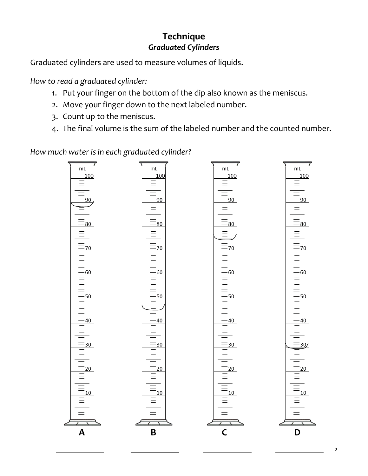## **Technique** *Graduated Cylinders*

Graduated cylinders are used to measure volumes of liquids.

*How to read a graduated cylinder:*

- 1. Put your finger on the bottom of the dip also known as the meniscus.
- 2. Move your finger down to the next labeled number.
- 3. Count up to the meniscus.
- 4. The final volume is the sum of the labeled number and the counted number.

*How much water is in each graduated cylinder?*

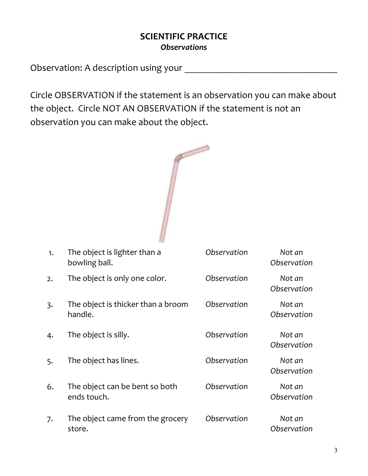#### **SCIENTIFIC PRACTICE** *Observations*

Observation: A description using your \_\_\_\_\_\_\_\_\_\_\_\_\_\_\_\_\_\_\_\_\_\_\_\_\_\_\_\_\_\_\_\_\_\_\_\_

Circle OBSERVATION if the statement is an observation you can make about the object. Circle NOT AN OBSERVATION if the statement is not an observation you can make about the object.



| 1.             | The object is lighter than a<br>bowling ball. | Observation | Not an<br>Observation |
|----------------|-----------------------------------------------|-------------|-----------------------|
| 2.             | The object is only one color.                 | Observation | Not an<br>Observation |
| $\overline{3}$ | The object is thicker than a broom<br>handle. | Observation | Not an<br>Observation |
| 4.             | The object is silly.                          | Observation | Not an<br>Observation |
| 5.             | The object has lines.                         | Observation | Not an<br>Observation |
| 6.             | The object can be bent so both<br>ends touch. | Observation | Not an<br>Observation |
| 7.             | The object came from the grocery<br>store.    | Observation | Not an<br>Observation |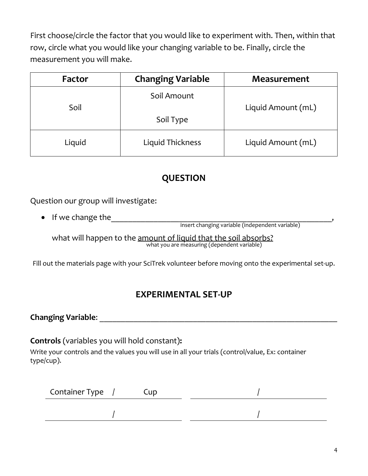First choose/circle the factor that you would like to experiment with. Then, within that row, circle what you would like your changing variable to be. Finally, circle the measurement you will make.

| Factor | <b>Changing Variable</b> | <b>Measurement</b> |
|--------|--------------------------|--------------------|
| Soil   | Soil Amount              | Liquid Amount (mL) |
|        | Soil Type                |                    |
| Liquid | Liquid Thickness         | Liquid Amount (mL) |

## **QUESTION**

Question our group will investigate:

• If we change the\_\_\_\_\_\_\_\_\_\_\_\_\_\_\_\_\_\_\_\_\_\_\_\_\_\_\_\_\_\_\_\_\_\_\_\_\_\_\_\_\_\_\_\_\_\_\_\_\_\_\_\_,

insert changing variable (independent variable)

what will happen to the amount of liquid that the soil absorbs? what you are measuring (dependent variable)

Fill out the materials page with your SciTrek volunteer before moving onto the experimental set-up.

#### **EXPERIMENTAL SET-UP**

**Changing Variable**: \_\_\_\_\_\_\_\_\_\_\_\_\_\_\_\_\_\_\_\_\_\_\_\_\_\_\_\_\_\_\_\_\_\_\_\_\_\_\_\_\_\_\_\_\_\_\_\_\_\_\_\_\_\_\_\_

**Controls** (variables you will hold constant)**:**

Write your controls and the values you will use in all your trials (control/value, Ex: container type/cup).

| Container Type / | Cup |  |
|------------------|-----|--|
|                  |     |  |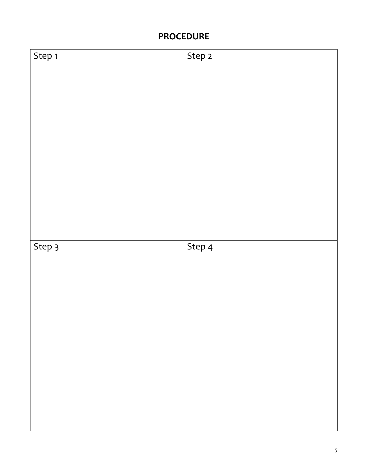## **PROCEDURE**

| Step 1 | Step 2 |
|--------|--------|
|        |        |
|        |        |
|        |        |
|        |        |
|        |        |
|        |        |
|        |        |
|        |        |
|        |        |
|        |        |
|        |        |
|        |        |
|        |        |
|        |        |
|        |        |
| Step 3 | Step 4 |
|        |        |
|        |        |
|        |        |
|        |        |
|        |        |
|        |        |
|        |        |
|        |        |
|        |        |
|        |        |
|        |        |
|        |        |
|        |        |
|        |        |
|        |        |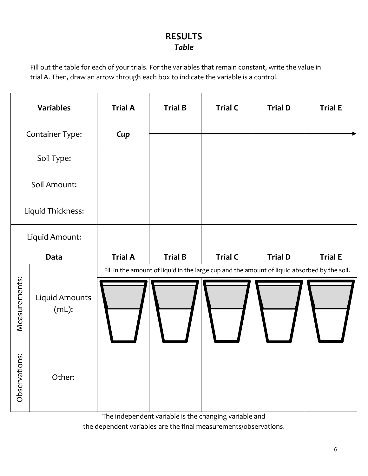#### **RESULTS** *Table*

Fill out the table for each of your trials. For the variables that remain constant, write the value in trial A. Then, draw an arrow through each box to indicate the variable is a control.

| <b>Variables</b> |                            | <b>Trial A</b> | <b>Trial B</b> | <b>Trial C</b>                                                                               | <b>Trial D</b> | <b>Trial E</b> |
|------------------|----------------------------|----------------|----------------|----------------------------------------------------------------------------------------------|----------------|----------------|
| Container Type:  |                            | Cup            |                |                                                                                              |                |                |
| Soil Type:       |                            |                |                |                                                                                              |                |                |
|                  | Soil Amount:               |                |                |                                                                                              |                |                |
|                  | Liquid Thickness:          |                |                |                                                                                              |                |                |
|                  | Liquid Amount:             |                |                |                                                                                              |                |                |
| Data             |                            |                |                |                                                                                              |                |                |
|                  |                            | <b>Trial A</b> | <b>Trial B</b> | <b>Trial C</b>                                                                               | <b>Trial D</b> | <b>Trial E</b> |
| Measurements:    | Liquid Amounts<br>$(mL)$ : |                |                | Fill in the amount of liquid in the large cup and the amount of liquid absorbed by the soil. |                |                |

The independent variable is the changing variable and

the dependent variables are the final measurements/observations.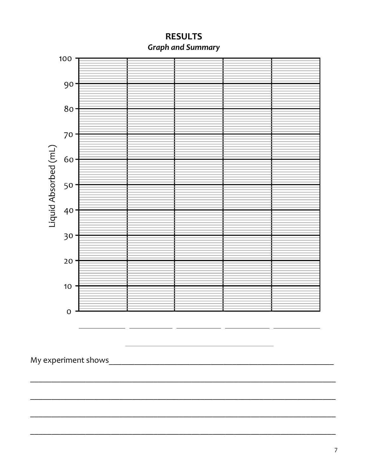

**RESULTS Graph and Summary**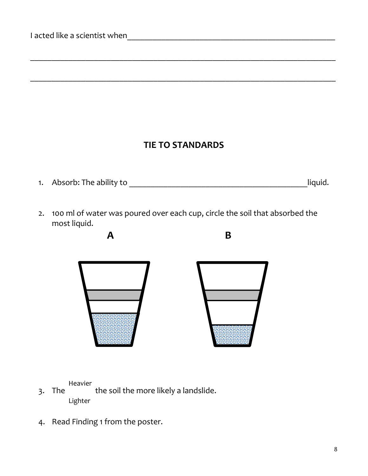## **TIE TO STANDARDS**

\_\_\_\_\_\_\_\_\_\_\_\_\_\_\_\_\_\_\_\_\_\_\_\_\_\_\_\_\_\_\_\_\_\_\_\_\_\_\_\_\_\_\_\_\_\_\_\_\_\_\_\_\_\_\_\_\_\_\_\_\_\_\_\_\_\_\_\_\_\_\_\_

\_\_\_\_\_\_\_\_\_\_\_\_\_\_\_\_\_\_\_\_\_\_\_\_\_\_\_\_\_\_\_\_\_\_\_\_\_\_\_\_\_\_\_\_\_\_\_\_\_\_\_\_\_\_\_\_\_\_\_\_\_\_\_\_\_\_\_\_\_\_\_\_

- 1. Absorb: The ability to \_\_\_\_\_\_\_\_\_\_\_\_\_\_\_\_\_\_\_\_\_\_\_\_\_\_\_\_\_\_\_\_\_\_\_\_\_\_\_\_\_\_liquid.
- 2. 100 ml of water was poured over each cup, circle the soil that absorbed the most liquid.



Heavier

- 3. The the soil the more likely a landslide. Lighter
- 4. Read Finding 1 from the poster.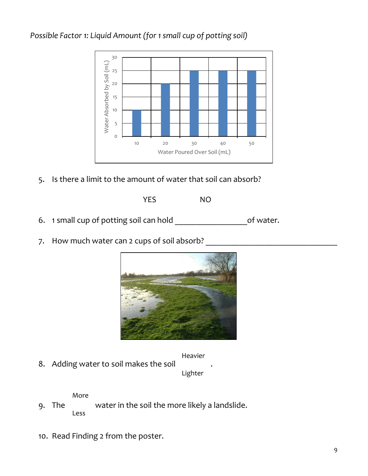#### *Possible Factor 1: Liquid Amount (for 1 small cup of potting soil)*



5. Is there a limit to the amount of water that soil can absorb?

YES NO

- 6. 1 small cup of potting soil can hold \_\_\_\_\_\_\_\_\_\_\_\_\_\_\_\_\_of water.
- 7. How much water can 2 cups of soil absorb?



Heavier

8. Adding water to soil makes the soil

Lighter

More

- 9. The water in the soil the more likely a landslide. Less
- 10. Read Finding 2 from the poster.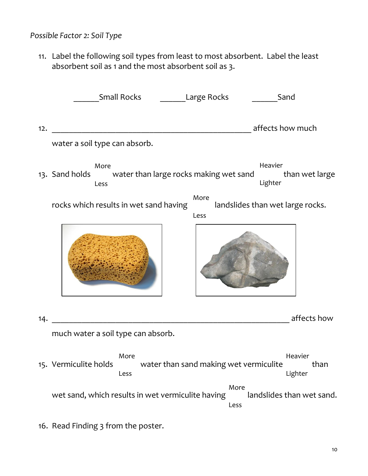#### *Possible Factor 2: Soil Type*

11. Label the following soil types from least to most absorbent. Label the least absorbent soil as 1 and the most absorbent soil as 3.

|     | <b>Small Rocks</b><br>Sand<br><b>Large Rocks</b>                                                                 |
|-----|------------------------------------------------------------------------------------------------------------------|
| 12. | affects how much                                                                                                 |
|     | water a soil type can absorb.                                                                                    |
|     | Heavier<br>More<br>13. Sand holds<br>water than large rocks making wet sand<br>than wet large<br>Lighter<br>Less |
|     | More<br>rocks which results in wet sand having<br>landslides than wet large rocks.<br>Less                       |
|     |                                                                                                                  |
| 14. | affects how                                                                                                      |
|     | much water a soil type can absorb.                                                                               |
|     | More<br>Heavier<br>water than sand making wet vermiculite<br>than<br>15. Vermiculite holds<br>Lighter<br>Less    |
|     | More<br>wet sand, which results in wet vermiculite having<br>landslides than wet sand.<br>Less                   |

16. Read Finding 3 from the poster.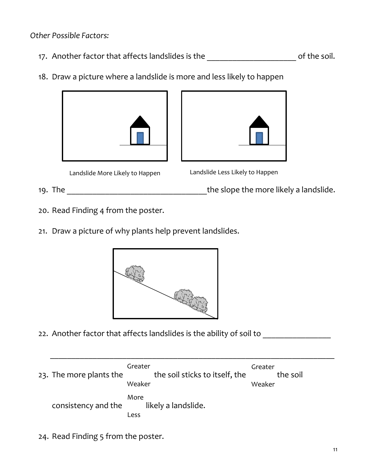*Other Possible Factors:*

- 17. Another factor that affects landslides is the \_\_\_\_\_\_\_\_\_\_\_\_\_\_\_\_\_\_\_\_\_\_\_\_\_\_\_\_\_of the soil.
- 18. Draw a picture where a landslide is more and less likely to happen







- 19. The \_\_\_\_\_\_\_\_\_\_\_\_\_\_\_\_\_\_\_\_\_\_\_\_\_\_\_\_\_\_\_\_\_the slope the more likely a landslide.
- 20. Read Finding 4 from the poster.
- 21. Draw a picture of why plants help prevent landslides.



22. Another factor that affects landslides is the ability of soil to

| 23. The more plants the | Greater<br>the soil sticks to itself, the<br>Weaker | Greater<br>the soil<br>Weaker |
|-------------------------|-----------------------------------------------------|-------------------------------|
| consistency and the     | More<br>likely a landslide.<br>Less                 |                               |

 $\overline{\phantom{a}}$  , and the contribution of the contribution of the contribution of the contribution of the contribution of the contribution of the contribution of the contribution of the contribution of the contribution of the

24. Read Finding 5 from the poster.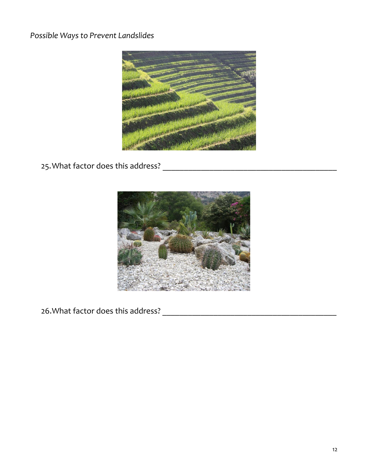*Possible Ways to Prevent Landslides*



25.What factor does this address? \_\_\_\_\_\_\_\_\_\_\_\_\_\_\_\_\_\_\_\_\_\_\_\_\_\_\_\_\_\_\_\_\_\_\_\_\_\_\_\_\_



26.What factor does this address? \_\_\_\_\_\_\_\_\_\_\_\_\_\_\_\_\_\_\_\_\_\_\_\_\_\_\_\_\_\_\_\_\_\_\_\_\_\_\_\_\_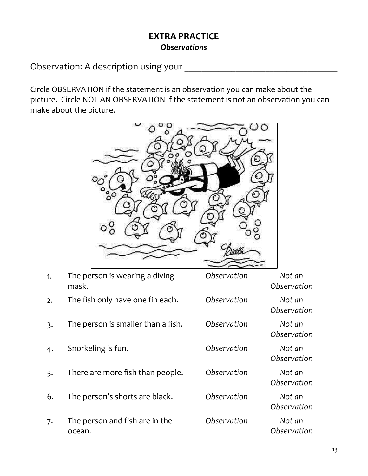#### **EXTRA PRACTICE** *Observations*

Observation: A description using your \_\_\_\_

Circle OBSERVATION if the statement is an observation you can make about the picture. Circle NOT AN OBSERVATION if the statement is not an observation you can make about the picture.



| 1.               | The person is wearing a diving<br>mask.  | Observation | Not an<br>Observation |
|------------------|------------------------------------------|-------------|-----------------------|
| 2.               | The fish only have one fin each.         | Observation | Not an<br>Observation |
| $\overline{3}$ . | The person is smaller than a fish.       | Observation | Not an<br>Observation |
| 4.               | Snorkeling is fun.                       | Observation | Not an<br>Observation |
| 5.               | There are more fish than people.         | Observation | Not an<br>Observation |
| 6.               | The person's shorts are black.           | Observation | Not an<br>Observation |
| 7.               | The person and fish are in the<br>ocean. | Observation | Not an<br>Observation |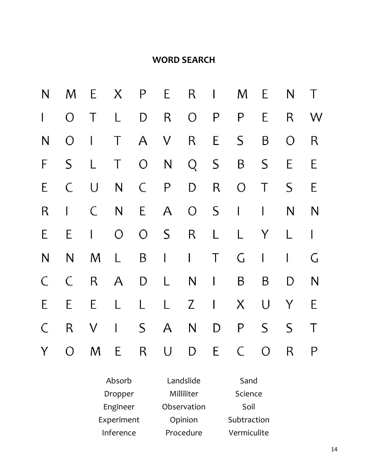### **WORD SEARCH**

| N            |                |              |                         |              |                |                     |     | MEXPERIME         |             |                   | N T             |
|--------------|----------------|--------------|-------------------------|--------------|----------------|---------------------|-----|-------------------|-------------|-------------------|-----------------|
| $\mathbf{I}$ | $\overline{O}$ | $\top$       | $\frac{1}{2}$           | D            | $R_{\perp}$    |                     |     | $O$ $P$ $P$       | E           |                   | R W             |
| N            | $O \mid$       |              | $\overline{\mathsf{T}}$ |              | A V R E        |                     |     | S                 | $\mathsf B$ | $\overline{O}$    | $R_{\parallel}$ |
| $\mathsf{F}$ | $S_{\perp}$    | $\mathsf{L}$ |                         |              | T O N Q S      |                     |     |                   | B S         | E                 | E               |
| E            | $\mathsf{C}$   | $\cup$       |                         |              | N C P          |                     | D R | O T               |             | $S_{\mathcal{C}}$ | E               |
| R            | $\Gamma$       | $\mathsf{C}$ |                         | N E          |                |                     |     | A O S I I         |             | N <sub>1</sub>    | N               |
| E            | E              | $\mathbf{I}$ |                         |              | O O S R L      |                     |     |                   | L Y         | L                 | $\mathbf{I}$    |
| $\mathsf{N}$ | N              | M L          |                         |              | <b>B</b> I I T |                     |     |                   | $G \quad 1$ | $\perp$           | G               |
| $\mathsf{C}$ | $\mathsf{C}$   |              |                         |              | R A D L N I    |                     |     | $\mathsf{B}$      | B           | D                 | N               |
| E            | E              | E            | $\mathsf{L}$            | $\mathbb{L}$ |                | $L \quad Z \quad 1$ |     | $X -$             | $\bigcup$   | Y                 | E               |
| $\mathsf{C}$ | $R_{\perp}$    |              |                         |              | V I S A N D    |                     |     | P                 | S           | $S_{\mathcal{L}}$ | $\top$          |
| Y            |                |              |                         |              |                |                     |     | O M E R U D E C O |             | $R_{\parallel}$   | $\mathsf{P}$    |

| Absorb     | Landslide   | Sand        |
|------------|-------------|-------------|
| Dropper    | Milliliter  | Science     |
| Engineer   | Observation | Soil        |
| Experiment | Opinion     | Subtraction |
| Inference  | Procedure   | Vermiculite |